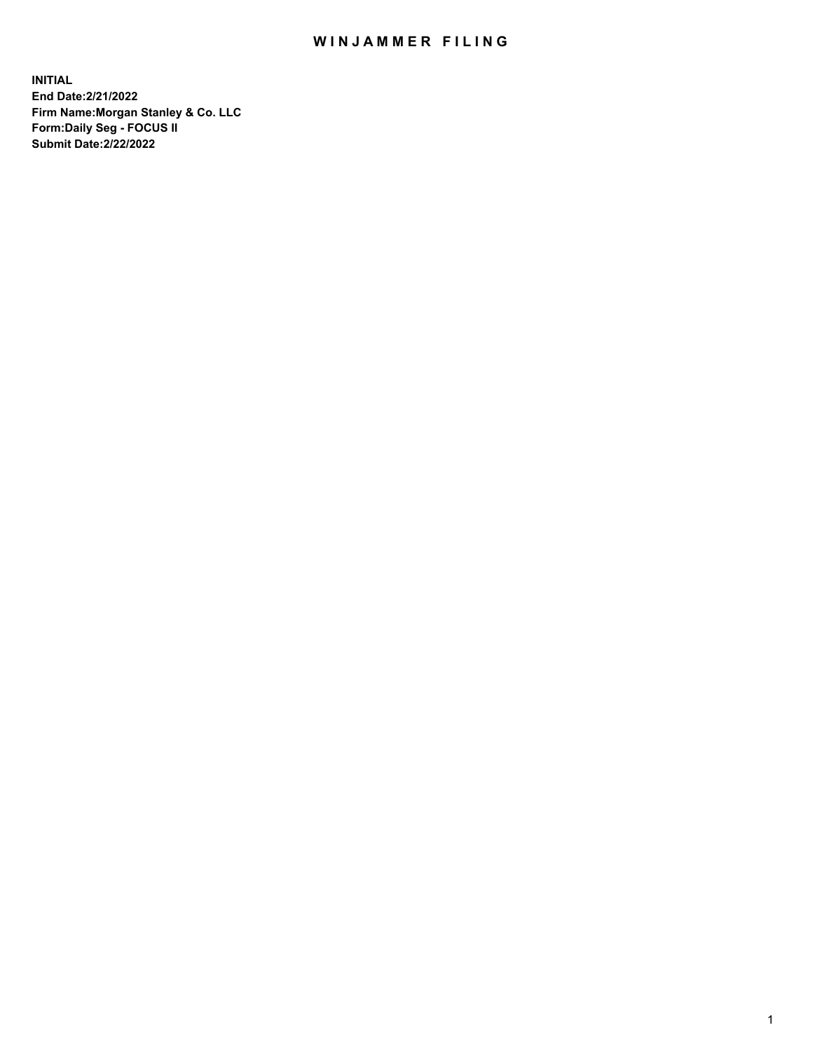## WIN JAMMER FILING

**INITIAL End Date:2/21/2022 Firm Name:Morgan Stanley & Co. LLC Form:Daily Seg - FOCUS II Submit Date:2/22/2022**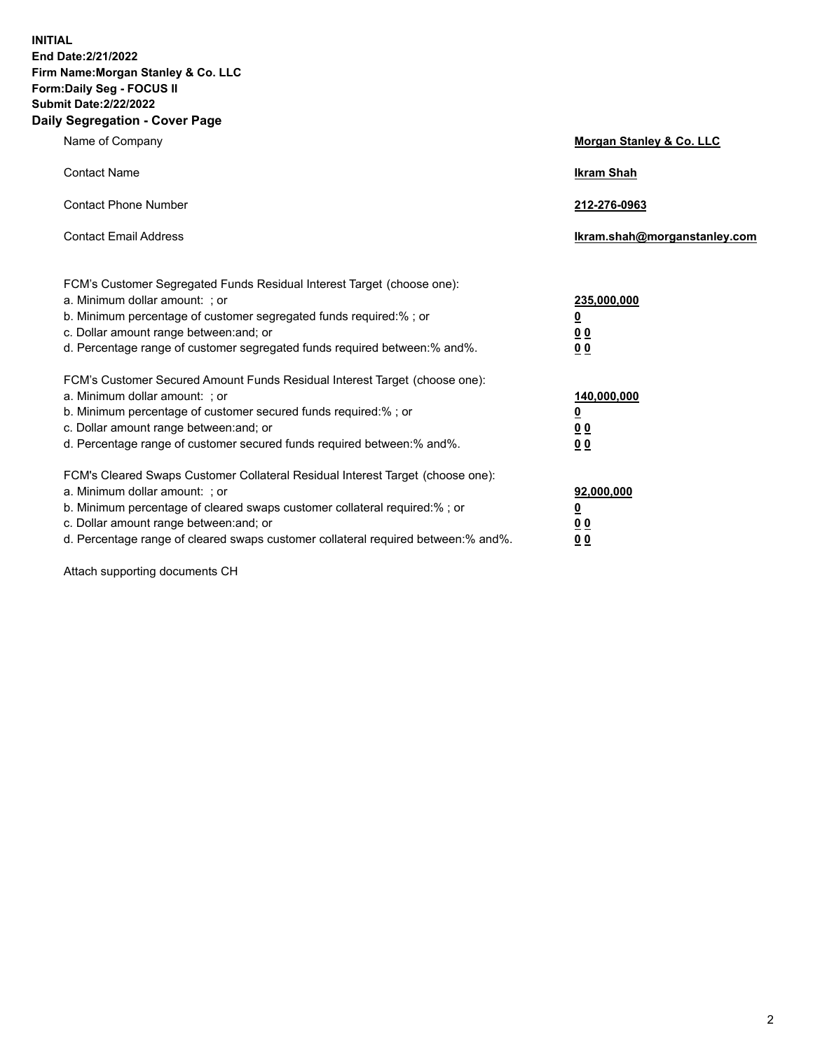**INITIAL End Date:2/21/2022 Firm Name:Morgan Stanley & Co. LLC Form:Daily Seg - FOCUS II Submit Date:2/22/2022 Daily Segregation - Cover Page**

| Name of Company                                                                                                                                                                                                                                                                                                                | Morgan Stanley & Co. LLC                               |
|--------------------------------------------------------------------------------------------------------------------------------------------------------------------------------------------------------------------------------------------------------------------------------------------------------------------------------|--------------------------------------------------------|
| <b>Contact Name</b>                                                                                                                                                                                                                                                                                                            | <b>Ikram Shah</b>                                      |
| <b>Contact Phone Number</b>                                                                                                                                                                                                                                                                                                    | 212-276-0963                                           |
| <b>Contact Email Address</b>                                                                                                                                                                                                                                                                                                   | Ikram.shah@morganstanley.com                           |
| FCM's Customer Segregated Funds Residual Interest Target (choose one):<br>a. Minimum dollar amount: ; or<br>b. Minimum percentage of customer segregated funds required:% ; or<br>c. Dollar amount range between: and; or<br>d. Percentage range of customer segregated funds required between:% and%.                         | 235,000,000<br><u>0</u><br>0 <sup>0</sup><br><u>00</u> |
| FCM's Customer Secured Amount Funds Residual Interest Target (choose one):<br>a. Minimum dollar amount: ; or<br>b. Minimum percentage of customer secured funds required:% ; or<br>c. Dollar amount range between: and; or<br>d. Percentage range of customer secured funds required between:% and%.                           | 140,000,000<br><u>0</u><br><u>00</u><br>00             |
| FCM's Cleared Swaps Customer Collateral Residual Interest Target (choose one):<br>a. Minimum dollar amount: ; or<br>b. Minimum percentage of cleared swaps customer collateral required:% ; or<br>c. Dollar amount range between: and; or<br>d. Percentage range of cleared swaps customer collateral required between:% and%. | 92,000,000<br><u>0</u><br><u>00</u><br>00              |

Attach supporting documents CH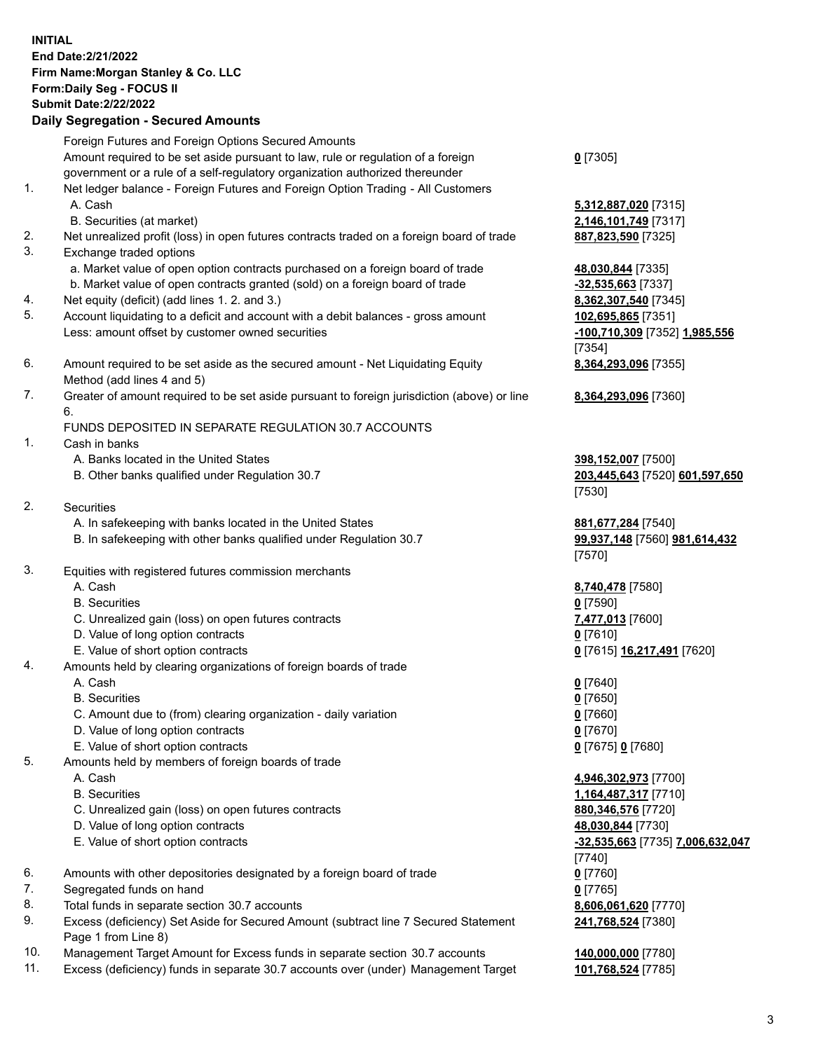## **INITIAL End Date:2/21/2022 Firm Name:Morgan Stanley & Co. LLC Form:Daily Seg - FOCUS II Submit Date:2/22/2022**

## **Daily Segregation - Secured Amounts**

Foreign Futures and Foreign Options Secured Amounts Amount required to be set aside pursuant to law, rule or regulation of a foreign government or a rule of a self-regulatory organization authorized thereunder 1. Net ledger balance - Foreign Futures and Foreign Option Trading - All Customers A. Cash **5,312,887,020** [7315] B. Securities (at market) **2,146,101,749** [7317] 2. Net unrealized profit (loss) in open futures contracts traded on a foreign board of trade **887,823,590** [7325] 3. Exchange traded options a. Market value of open option contracts purchased on a foreign board of trade **48,030,844** [7335] b. Market value of open contracts granted (sold) on a foreign board of trade **-32,535,663** [7337] 4. Net equity (deficit) (add lines 1. 2. and 3.) **8,362,307,540** [7345] 5. Account liquidating to a deficit and account with a debit balances - gross amount **102,695,865** [7351] Less: amount offset by customer owned securities **-100,710,309** [7352] **1,985,556** 6. Amount required to be set aside as the secured amount - Net Liquidating Equity Method (add lines 4 and 5) 7. Greater of amount required to be set aside pursuant to foreign jurisdiction (above) or line 6. FUNDS DEPOSITED IN SEPARATE REGULATION 30.7 ACCOUNTS 1. Cash in banks A. Banks located in the United States **398,152,007** [7500] B. Other banks qualified under Regulation 30.7 **203,445,643** [7520] **601,597,650** 2. Securities A. In safekeeping with banks located in the United States **881,677,284** [7540]

- B. In safekeeping with other banks qualified under Regulation 30.7 **99,937,148** [7560] **981,614,432**
- 3. Equities with registered futures commission merchants
	-
	- B. Securities **0** [7590]
	- C. Unrealized gain (loss) on open futures contracts **7,477,013** [7600]
	- D. Value of long option contracts **0** [7610]
	- E. Value of short option contracts **0** [7615] **16,217,491** [7620]
- 4. Amounts held by clearing organizations of foreign boards of trade
	- A. Cash **0** [7640]
	- B. Securities **0** [7650]
	- C. Amount due to (from) clearing organization daily variation **0** [7660]
	- D. Value of long option contracts **0** [7670]
	- E. Value of short option contracts **0** [7675] **0** [7680]
- 5. Amounts held by members of foreign boards of trade
	-
	-
	- C. Unrealized gain (loss) on open futures contracts **880,346,576** [7720]
	- D. Value of long option contracts **48,030,844** [7730]
	-
- 6. Amounts with other depositories designated by a foreign board of trade **0** [7760]
- 7. Segregated funds on hand **0** [7765]
- 8. Total funds in separate section 30.7 accounts **8,606,061,620** [7770]
- 9. Excess (deficiency) Set Aside for Secured Amount (subtract line 7 Secured Statement Page 1 from Line 8)
- 10. Management Target Amount for Excess funds in separate section 30.7 accounts **140,000,000** [7780]
- 11. Excess (deficiency) funds in separate 30.7 accounts over (under) Management Target **101,768,524** [7785]

**0** [7305]

[7354] **8,364,293,096** [7355]

**8,364,293,096** [7360]

[7530]

[7570]

A. Cash **8,740,478** [7580]

 A. Cash **4,946,302,973** [7700] B. Securities **1,164,487,317** [7710] E. Value of short option contracts **-32,535,663** [7735] **7,006,632,047** [7740] **241,768,524** [7380]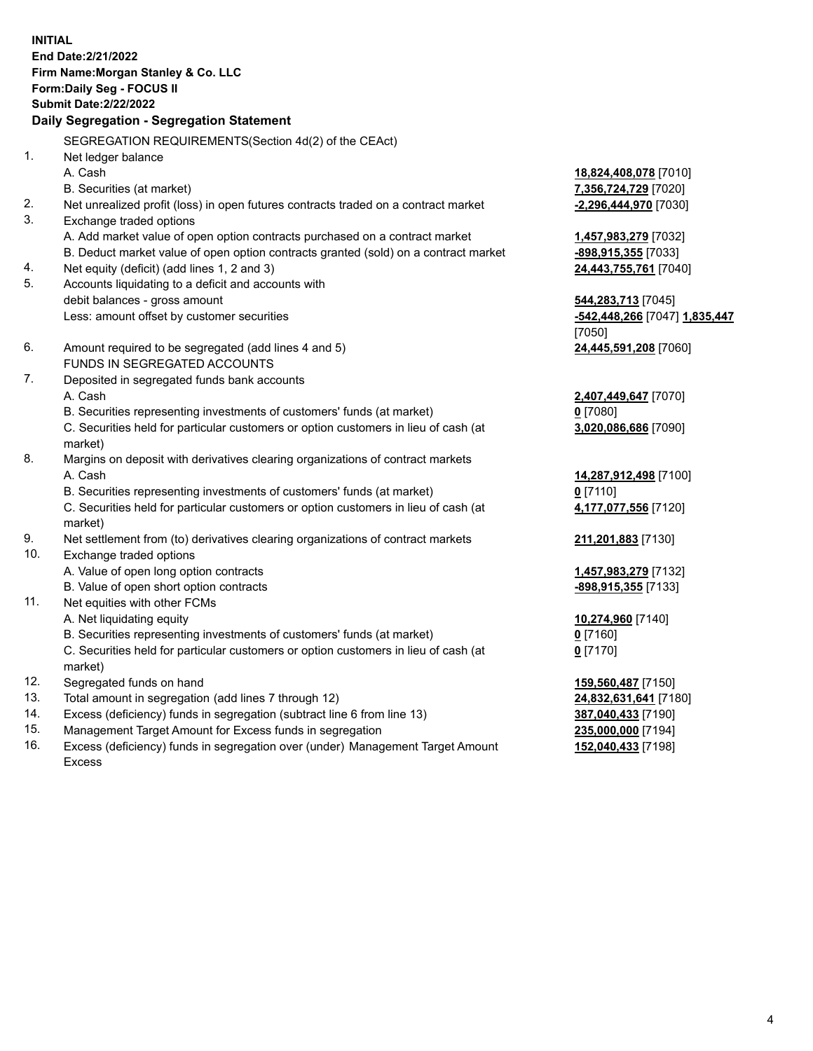**INITIAL End Date:2/21/2022 Firm Name:Morgan Stanley & Co. LLC Form:Daily Seg - FOCUS II Submit Date:2/22/2022 Daily Segregation - Segregation Statement** SEGREGATION REQUIREMENTS(Section 4d(2) of the CEAct) 1. Net ledger balance A. Cash **18,824,408,078** [7010] B. Securities (at market) **7,356,724,729** [7020] 2. Net unrealized profit (loss) in open futures contracts traded on a contract market **-2,296,444,970** [7030] 3. Exchange traded options A. Add market value of open option contracts purchased on a contract market **1,457,983,279** [7032] B. Deduct market value of open option contracts granted (sold) on a contract market **-898,915,355** [7033] 4. Net equity (deficit) (add lines 1, 2 and 3) **24,443,755,761** [7040] 5. Accounts liquidating to a deficit and accounts with debit balances - gross amount **544,283,713** [7045] Less: amount offset by customer securities **-542,448,266** [7047] **1,835,447** [7050] 6. Amount required to be segregated (add lines 4 and 5) **24,445,591,208** [7060] FUNDS IN SEGREGATED ACCOUNTS 7. Deposited in segregated funds bank accounts A. Cash **2,407,449,647** [7070] B. Securities representing investments of customers' funds (at market) **0** [7080] C. Securities held for particular customers or option customers in lieu of cash (at market) **3,020,086,686** [7090] 8. Margins on deposit with derivatives clearing organizations of contract markets A. Cash **14,287,912,498** [7100] B. Securities representing investments of customers' funds (at market) **0** [7110] C. Securities held for particular customers or option customers in lieu of cash (at market) **4,177,077,556** [7120] 9. Net settlement from (to) derivatives clearing organizations of contract markets **211,201,883** [7130] 10. Exchange traded options A. Value of open long option contracts **1,457,983,279** [7132] B. Value of open short option contracts **and the set of our original contracts -898,915,355** [7133] 11. Net equities with other FCMs A. Net liquidating equity **10,274,960** [7140] B. Securities representing investments of customers' funds (at market) **0** [7160] C. Securities held for particular customers or option customers in lieu of cash (at market) **0** [7170] 12. Segregated funds on hand **159,560,487** [7150] 13. Total amount in segregation (add lines 7 through 12) **24,832,631,641** [7180] 14. Excess (deficiency) funds in segregation (subtract line 6 from line 13) **387,040,433** [7190]

- 15. Management Target Amount for Excess funds in segregation **235,000,000** [7194]
- 16. Excess (deficiency) funds in segregation over (under) Management Target Amount Excess

**152,040,433** [7198]